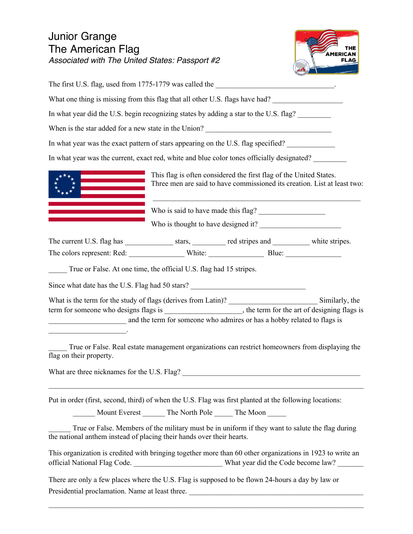## Junior Grange The American Flag *Associated with The United States: Passport #2*



| What one thing is missing from this flag that all other U.S. flags have had?                                                                                                          |  |                                                                                                                                                |  |
|---------------------------------------------------------------------------------------------------------------------------------------------------------------------------------------|--|------------------------------------------------------------------------------------------------------------------------------------------------|--|
| In what year did the U.S. begin recognizing states by adding a star to the U.S. flag?                                                                                                 |  |                                                                                                                                                |  |
|                                                                                                                                                                                       |  |                                                                                                                                                |  |
| In what year was the exact pattern of stars appearing on the U.S. flag specified?                                                                                                     |  |                                                                                                                                                |  |
| In what year was the current, exact red, white and blue color tones officially designated?                                                                                            |  |                                                                                                                                                |  |
|                                                                                                                                                                                       |  | This flag is often considered the first flag of the United States.<br>Three men are said to have commissioned its creation. List at least two: |  |
|                                                                                                                                                                                       |  |                                                                                                                                                |  |
|                                                                                                                                                                                       |  |                                                                                                                                                |  |
|                                                                                                                                                                                       |  |                                                                                                                                                |  |
|                                                                                                                                                                                       |  |                                                                                                                                                |  |
| True or False. At one time, the official U.S. flag had 15 stripes.                                                                                                                    |  |                                                                                                                                                |  |
| Since what date has the U.S. Flag had 50 stars?                                                                                                                                       |  |                                                                                                                                                |  |
| term for someone who designs flags is ________________________, the term for the art of designing flags is<br>and the term for someone who admires or has a hobby related to flags is |  |                                                                                                                                                |  |
| flag on their property.                                                                                                                                                               |  | True or False. Real estate management organizations can restrict homeowners from displaying the                                                |  |
| What are three nicknames for the U.S. Flag?                                                                                                                                           |  |                                                                                                                                                |  |
| Put in order (first, second, third) of when the U.S. Flag was first planted at the following locations:                                                                               |  |                                                                                                                                                |  |
|                                                                                                                                                                                       |  | Mount Everest ________ The North Pole ______ The Moon ______                                                                                   |  |
| the national anthem instead of placing their hands over their hearts.                                                                                                                 |  | True or False. Members of the military must be in uniform if they want to salute the flag during                                               |  |
| This organization is credited with bringing together more than 60 other organizations in 1923 to write an                                                                             |  |                                                                                                                                                |  |
| There are only a few places where the U.S. Flag is supposed to be flown 24-hours a day by law or<br>Presidential proclamation. Name at least three.                                   |  |                                                                                                                                                |  |